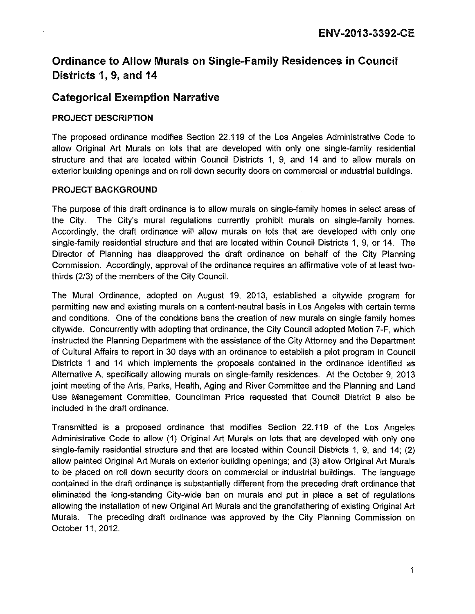# Ordinance to Allow Murals on Single-Family Residences in Council Districts 1, 9, and 14

## Categorical Exemption Narrative

#### PROJECT DESCRIPTION

The proposed ordinance modifies Section 22.119 of the Los Angeles Administrative Code to allow Original Art Murals on lots that are developed with only one single-family residential structure and that are located within Council Districts 1, 9, and 14 and to allow murals on exterior building openings and on roll down security doors on commercial or industrial buildings.

#### PROJECT BACKGROUND

The purpose of this draft ordinance is to allow murals on single-family homes in select areas of the City. The City's mural regulations currently prohibit murals on single-family homes. Accordingly, the draft ordinance will allow murals on lots that are developed with only one single-family residential structure and that are located within Council Districts 1, 9, or 14. The Director of Planning has disapproved the draft ordinance on behalf of the City Planning Commission. Accordingly, approval of the ordinance requires an affirmative vote of at least twothirds (2/3) of the members of the City Council.

The Mural Ordinance, adopted on August 19, 2013, established a citywide program for permitting new and existing murals on a content-neutral basis in Los Angeles with certain terms and conditions. One of the conditions bans the creation of new murals on single family homes citywide. Concurrently with adopting that ordinance, the City Council adopted Motion 7-F, which instructed the Planning Department with the assistance of the City Attorney and the Department of Cultural Affairs to report in 30 days with an ordinance to establish a pilot program in Council Districts 1 and 14 which implements the proposals contained in the ordinance identified as Alternative A, specifically allowing murals on single-family residences. At the October 9, 2013 joint meeting of the Arts, Parks, Health, Aging and River Committee and the Planning and Land Use Management Committee, Councilman Price requested that Council District 9 also be included in the draft ordinance.

Transmitted is a proposed ordinance that modifies Section 22.119 of the Los Angeles Administrative Code to allow (1) Original Art Murals on lots that are developed with only one single-family residential structure and that are located within Council Districts 1, 9, and 14; (2) allow painted Original Art Murals on exterior building openings; and (3) allow Original Art Murals to be placed on roll down security doors on commercial or industrial buildings. The language contained in the draft ordinance is substantially different from the preceding draft ordinance that eliminated the long-standing City-wide ban on murals and put in place a set of regulations allowing the installation of new Original Art Murals and the grandfathering of existing Original Art Murals. The preceding draft ordinance was approved by the City Planning Commission on October 11, 2012.